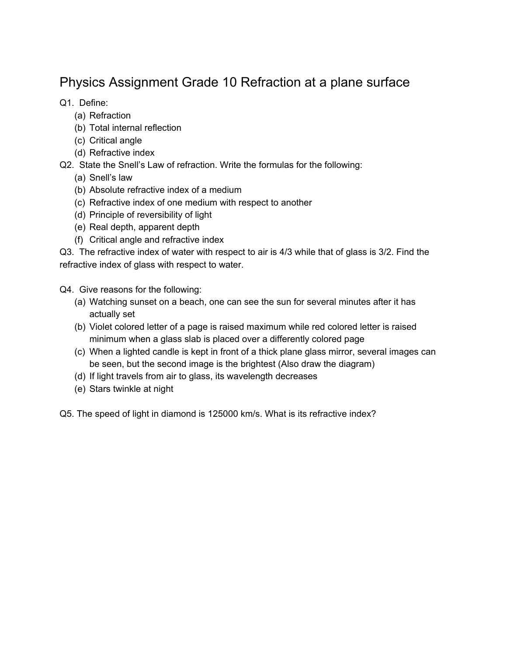## Physics Assignment Grade 10 Refraction at a plane surface

Q1. Define:

- (a) Refraction
- (b) Total internal reflection
- (c) Critical angle
- (d) Refractive index

Q2. State the Snell's Law of refraction. Write the formulas for the following:

- (a) Snell's law
- (b) Absolute refractive index of a medium
- (c) Refractive index of one medium with respect to another
- (d) Principle of reversibility of light
- (e) Real depth, apparent depth
- (f) Critical angle and refractive index

Q3. The refractive index of water with respect to air is 4/3 while that of glass is 3/2. Find the refractive index of glass with respect to water.

Q4. Give reasons for the following:

- (a) Watching sunset on a beach, one can see the sun for several minutes after it has actually set
- (b) Violet colored letter of a page is raised maximum while red colored letter is raised minimum when a glass slab is placed over a differently colored page
- (c) When a lighted candle is kept in front of a thick plane glass mirror, several images can be seen, but the second image is the brightest (Also draw the diagram)
- (d) If light travels from air to glass, its wavelength decreases
- (e) Stars twinkle at night

Q5. The speed of light in diamond is 125000 km/s. What is its refractive index?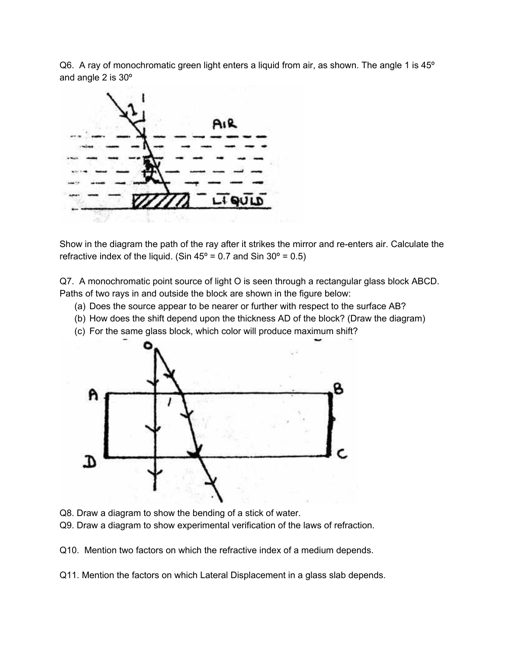Q6. A ray of monochromatic green light enters a liquid from air, as shown. The angle 1 is 45° and angle 2 is 30º



Show in the diagram the path of the ray after it strikes the mirror and re-enters air. Calculate the refractive index of the liquid. (Sin  $45^{\circ}$  = 0.7 and Sin  $30^{\circ}$  = 0.5)

Q7. A monochromatic point source of light O is seen through a rectangular glass block ABCD. Paths of two rays in and outside the block are shown in the figure below:

- (a) Does the source appear to be nearer or further with respect to the surface AB?
- (b) How does the shift depend upon the thickness AD of the block? (Draw the diagram)
- (c) For the same glass block, which color will produce maximum shift?



- Q8. Draw a diagram to show the bending of a stick of water.
- Q9. Draw a diagram to show experimental verification of the laws of refraction.

Q10. Mention two factors on which the refractive index of a medium depends.

Q11. Mention the factors on which Lateral Displacement in a glass slab depends.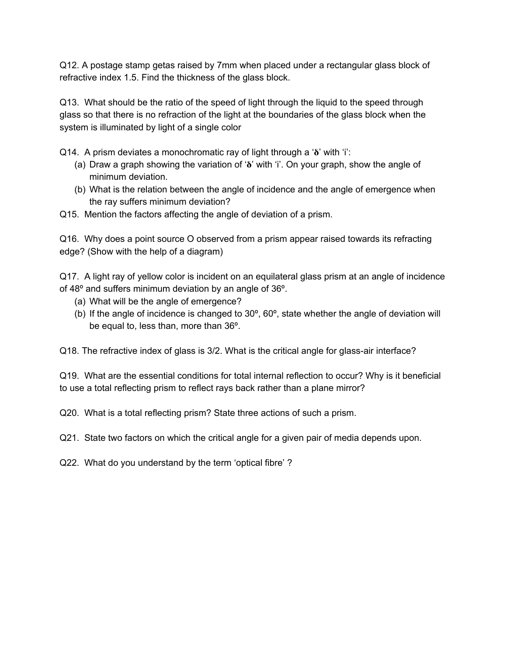Q12. A postage stamp getas raised by 7mm when placed under a rectangular glass block of refractive index 1.5. Find the thickness of the glass block.

Q13. What should be the ratio of the speed of light through the liquid to the speed through glass so that there is no refraction of the light at the boundaries of the glass block when the system is illuminated by light of a single color

Q14. A prism deviates a monochromatic ray of light through a ' $\delta$ ' with 'i':

- (a) Draw a graph showing the variation of ' $\delta$ ' with 'i'. On your graph, show the angle of minimum deviation.
- (b) What is the relation between the angle of incidence and the angle of emergence when the ray suffers minimum deviation?
- Q15. Mention the factors affecting the angle of deviation of a prism.

Q16. Why does a point source O observed from a prism appear raised towards its refracting edge? (Show with the help of a diagram)

Q17. A light ray of yellow color is incident on an equilateral glass prism at an angle of incidence of 48º and suffers minimum deviation by an angle of 36º.

- (a) What will be the angle of emergence?
- (b) If the angle of incidence is changed to 30º, 60º, state whether the angle of deviation will be equal to, less than, more than 36º.

Q18. The refractive index of glass is 3/2. What is the critical angle for glass-air interface?

Q19. What are the essential conditions for total internal reflection to occur? Why is it beneficial to use a total reflecting prism to reflect rays back rather than a plane mirror?

Q20. What is a total reflecting prism? State three actions of such a prism.

Q21. State two factors on which the critical angle for a given pair of media depends upon.

Q22. What do you understand by the term 'optical fibre' ?